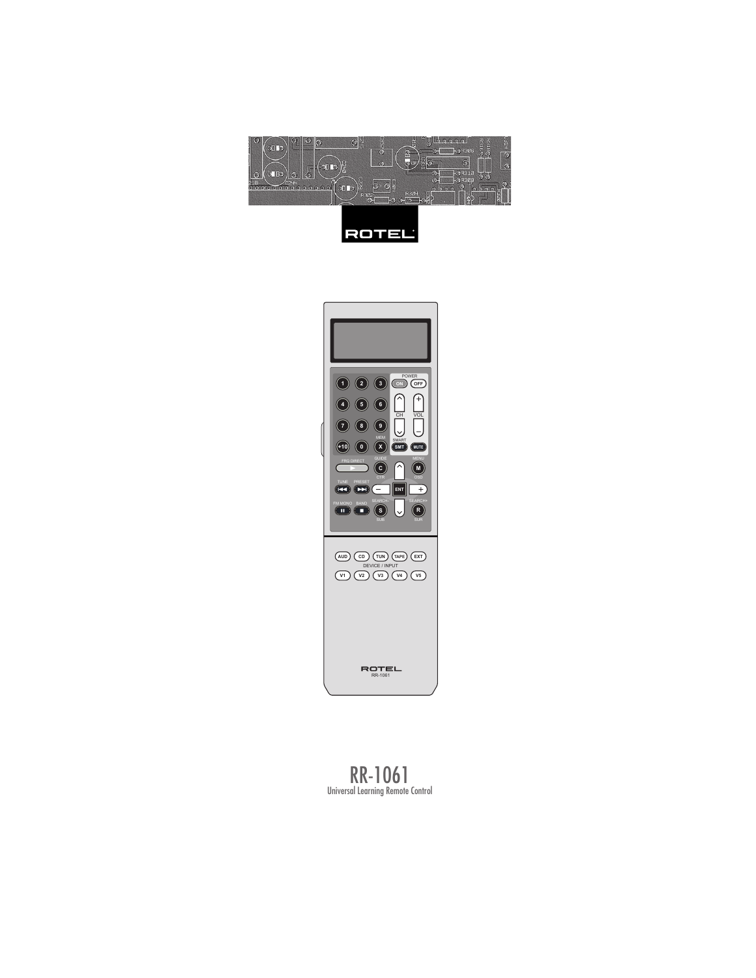





RR-1061 Universal Learning Remote Control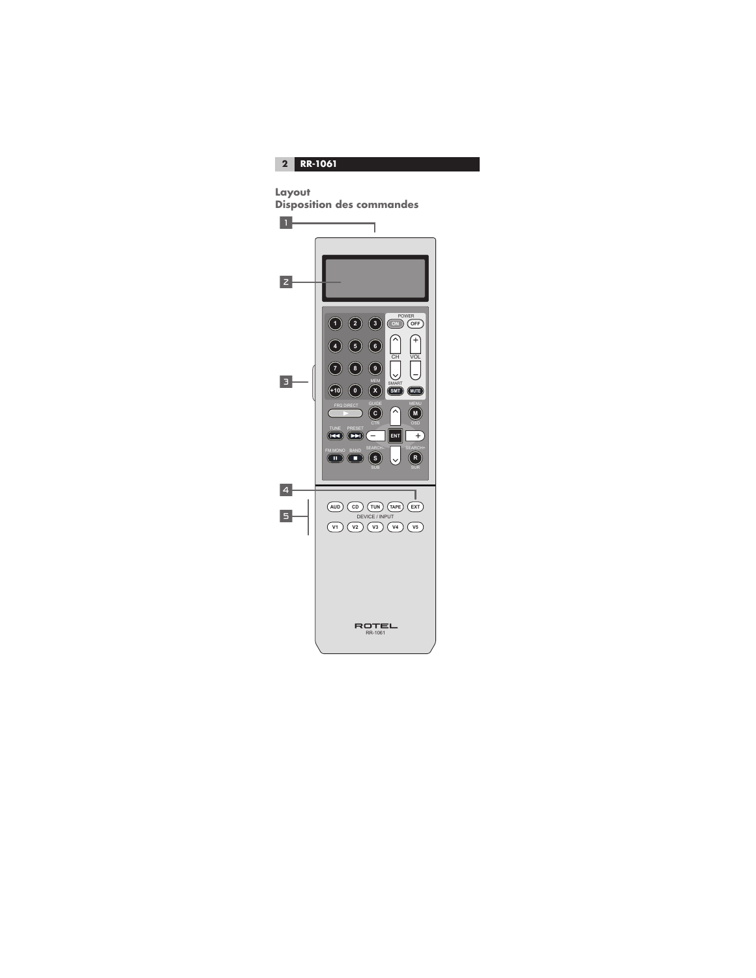**2 RR-1061** 

```
Layout
```


**Disposition des commandes**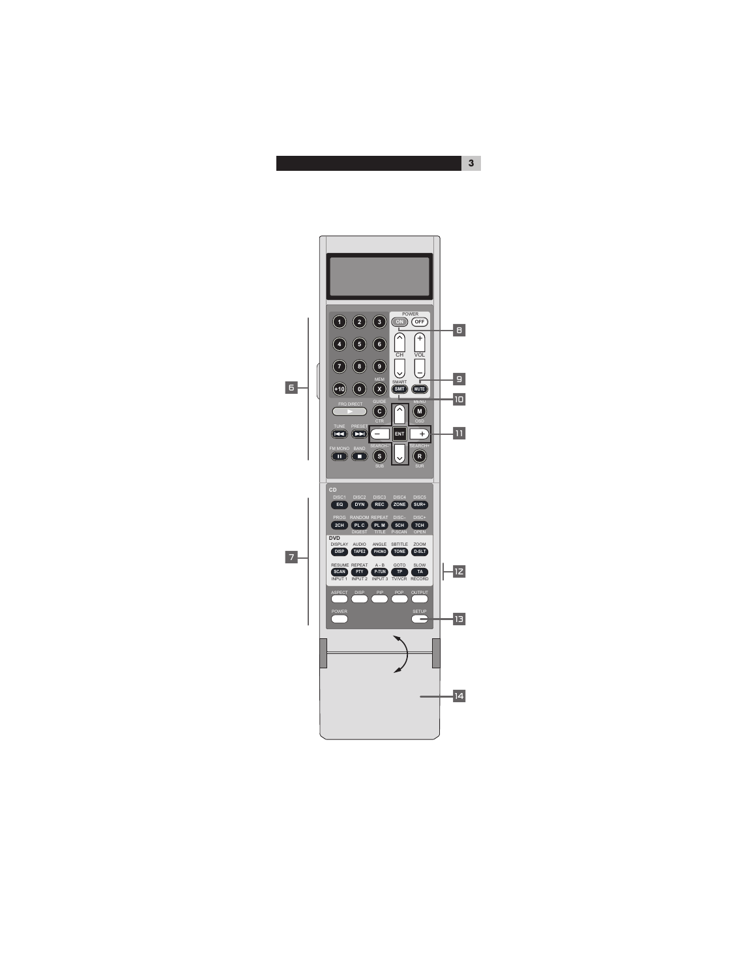

**3**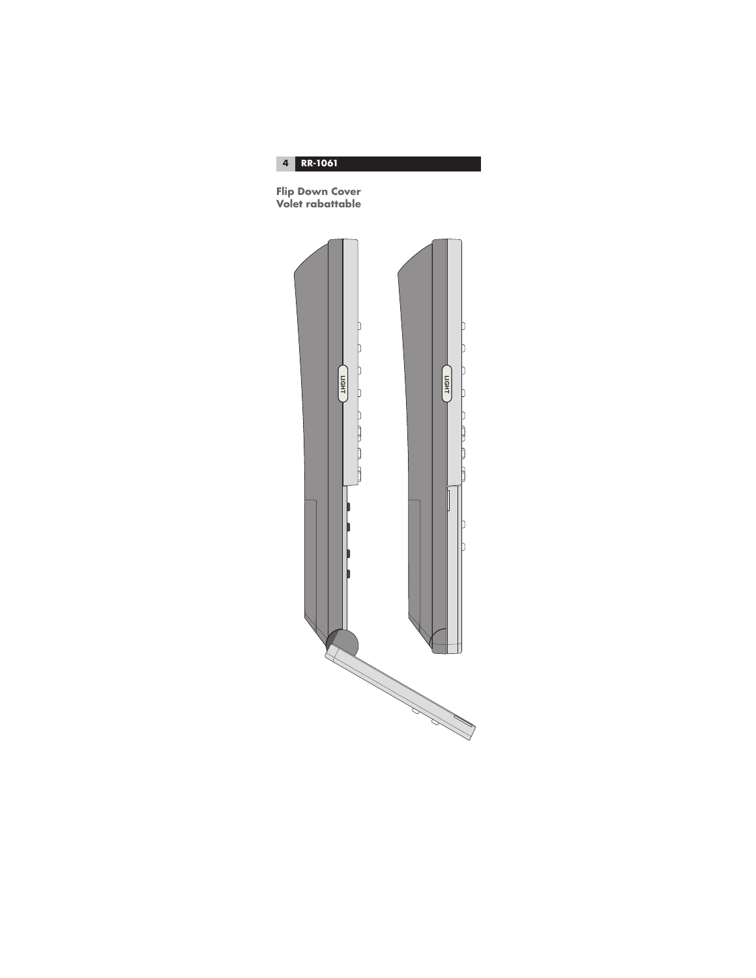

**Flip Down Cover Volet rabattable**

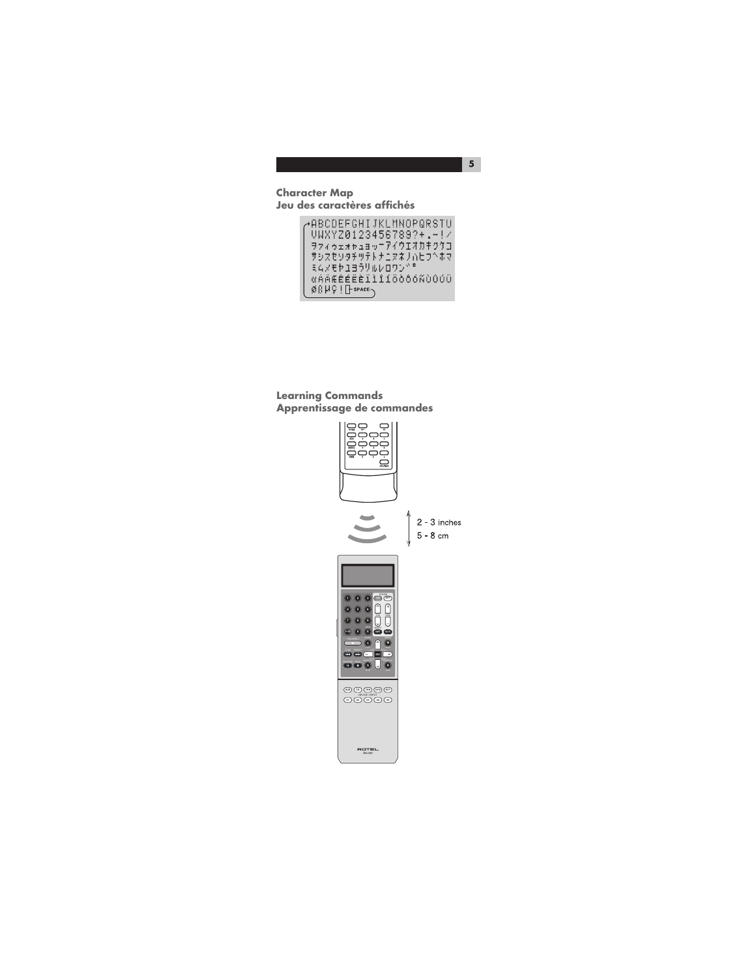#### **Character Map Jeu des caractères affichés**

→ABCOEFGHIJKLMNOPQRSTU UWXYZ0123456789?+.-!Z ○WAT20123436183?\*.-??<br>ヲァィゥェォャュョッニアイウエオカキクケコ<br>サシスセソタチツテトナニヌネノハヒフ^ホマ<br>ミムメモヤユヨラリルレロワン^" «AÄÆÊÉËÈÏ111ÖÒŐŐÑÙÓÚÜ  $0.1191 + 1.001$ 

**Learning Commands Apprentissage de commandes**

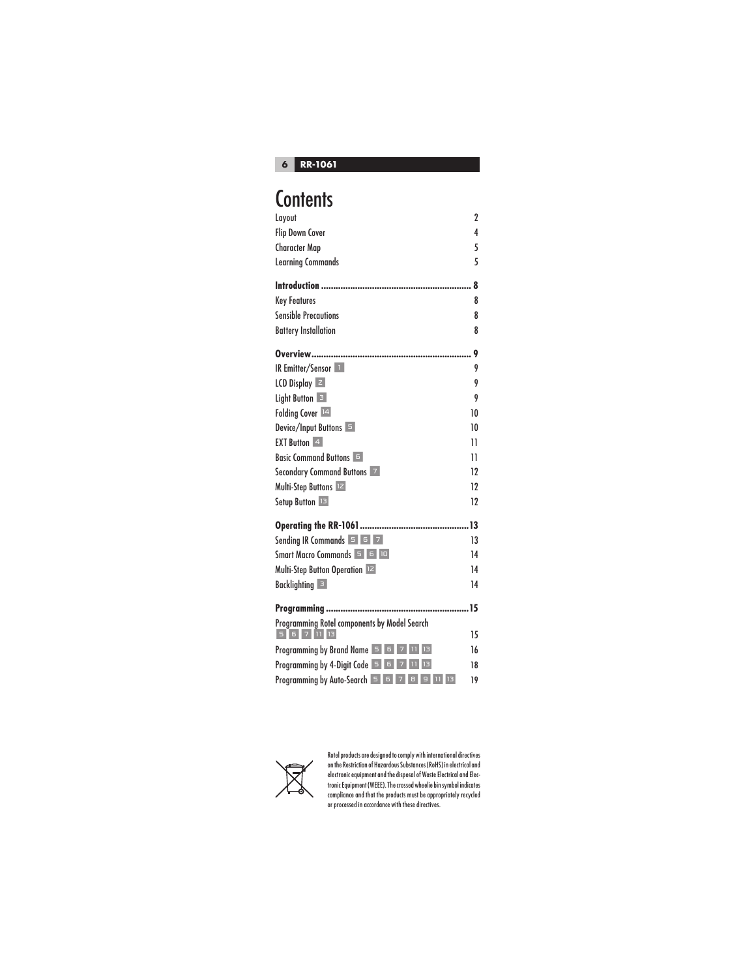

## **Contents**

| Layout                                                           | $\overline{2}$ |
|------------------------------------------------------------------|----------------|
| <b>Flip Down Cover</b>                                           | 4              |
| <b>Character Map</b>                                             | 5              |
| <b>Learning Commands</b>                                         | 5              |
|                                                                  | 8              |
| <b>Key Features</b>                                              | 8              |
| <b>Sensible Precautions</b>                                      | 8              |
| <b>Battery Installation</b>                                      | 8              |
| Overview                                                         | 9              |
| <b>IR Emitter/Sensor</b>                                         | 9              |
| $LCD$ Display $ z $                                              | 9              |
| Light Button 3                                                   | 9              |
| Folding Cover 14                                                 | 10             |
| Device/Input Buttons                                             | 10             |
| <b>EXT Button</b> 4                                              | 11             |
| <b>Basic Command Buttons</b>                                     | 11             |
| Secondary Command Buttons 7                                      | 12             |
| Multi-Step Buttons 12                                            | 12             |
| Setup Button 13                                                  | 12             |
|                                                                  |                |
| Sending IR Commands $\overline{5}$ $\overline{5}$ $\overline{7}$ | 13             |
| Smart Macro Commands 5 6 10                                      | 14             |
| Multi-Step Button Operation 12                                   | 14             |
| <b>Backlighting</b> 3                                            | 14             |
|                                                                  | 15             |
| Programming Rotel components by Model Search                     |                |
| 5 6 7 11 13                                                      | 15             |
| Programming by Brand Name 5 6 7 11 13                            | 16             |
| <b>Programming by 4-Digit Code 5 6 7 11</b>                      | 18             |
| Programming by Auto-Search 5 6 7 8 9 11 13                       | 19             |



Rotel products are designed to comply with international directives on the Restriction of Hazardous Substances (RoHS) in electrical and<br>electronic equipment and the disposal of Waste Electrical and Elec-<br>tronic Equipment (WEEE). The crossed wheelie bin symbol indicates<br>compliance and that or processed in accordance with these directives.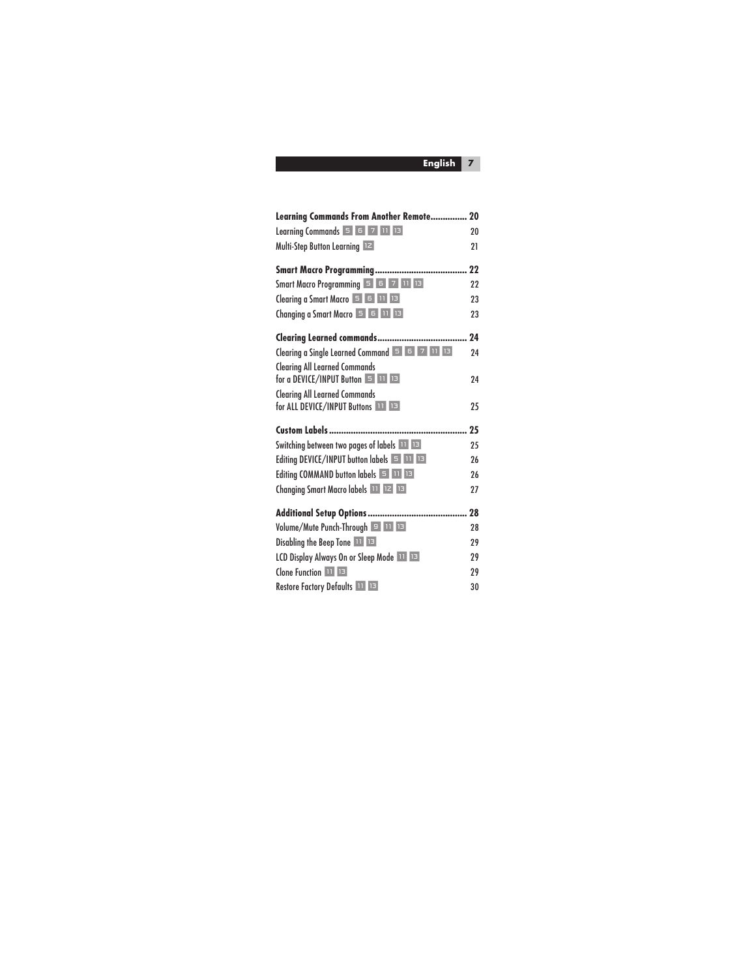| Learning Commands From Another Remote 20                                                                                                                                  |    |
|---------------------------------------------------------------------------------------------------------------------------------------------------------------------------|----|
| Learning Commands $\begin{array}{ c c c c c }\n\hline\n5 & 5 & 7 & 11 & 13 \\ \hline\n\end{array}$                                                                        | 20 |
| Multi-Step Button Learning 12                                                                                                                                             | 21 |
|                                                                                                                                                                           |    |
| Smart Macro Programming 5 6 7 11 13                                                                                                                                       | 22 |
| Clearing a Smart Macro 5 6 11 13                                                                                                                                          | 23 |
| Changing a Smart Macro 5 6 11 13                                                                                                                                          | 23 |
|                                                                                                                                                                           |    |
| Clearing a Single Learned Command 5 6 7 11 13                                                                                                                             | 24 |
| <b>Clearing All Learned Commands</b><br>for a DEVICE/INPUT Button $\overline{5}$ 11 13                                                                                    | 24 |
| <b>Clearing All Learned Commands</b>                                                                                                                                      |    |
| for ALL DEVICE/INPUT Buttons 11 13                                                                                                                                        | 25 |
|                                                                                                                                                                           | 25 |
| Switching between two pages of labels <b>11 B</b>                                                                                                                         | 25 |
| Editing DEVICE/INPUT button labels 5 11 13                                                                                                                                | 26 |
| Editing COMMAND button labels $\begin{array}{ c c c c }\n\hline\n\end{array}$ $\begin{array}{ c c c }\n\hline\n\end{array}$ $\begin{array}{ c c c }\n\hline\n\end{array}$ | 26 |
| Changing Smart Macro labels 11 12 13                                                                                                                                      | 27 |
|                                                                                                                                                                           |    |
| Volume/Mute Punch-Through 9 11 13                                                                                                                                         | 28 |
| Disabling the Beep Tone 11 13                                                                                                                                             | 29 |
| LCD Display Always On or Sleep Mode                                                                                                                                       | 29 |
| Clone Function 11 13                                                                                                                                                      | 29 |
| Restore Factory Defaults 11 13                                                                                                                                            | 30 |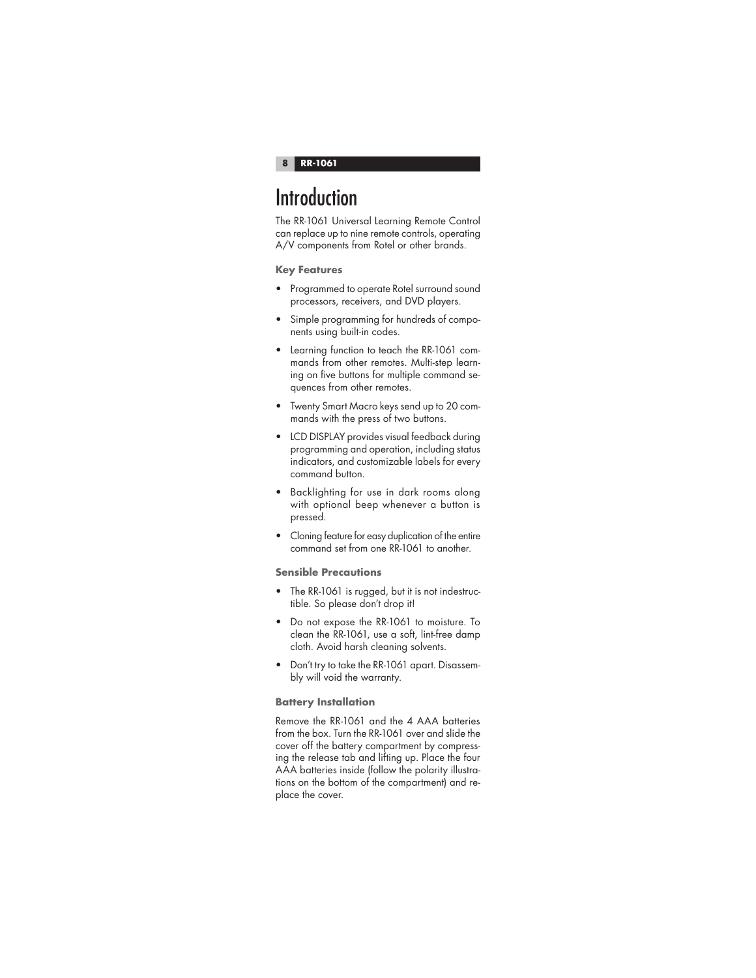## **Introduction**

The RR-1061 Universal Learning Remote Control can replace up to nine remote controls, operating A/V components from Rotel or other brands.

## **Key Features**

- Programmed to operate Rotel surround sound processors, receivers, and DVD players.
- Simple programming for hundreds of components using built-in codes.
- Learning function to teach the RR-1061 commands from other remotes. Multi-step learning on five buttons for multiple command sequences from other remotes.
- Twenty Smart Macro keys send up to 20 commands with the press of two buttons.
- LCD DISPLAY provides visual feedback during programming and operation, including status indicators, and customizable labels for every command button.
- Backlighting for use in dark rooms along with optional beep whenever a button is pressed.
- Cloning feature for easy duplication of the entire command set from one RR-1061 to another.

## **Sensible Precautions**

- The RR-1061 is rugged, but it is not indestructible. So please don't drop it!
- Do not expose the RR-1061 to moisture. To clean the RR-1061, use a soft, lint-free damp cloth. Avoid harsh cleaning solvents.
- Don't try to take the RR-1061 apart. Disassembly will void the warranty.

## **Battery Installation**

Remove the RR-1061 and the 4 AAA batteries from the box. Turn the RR-1061 over and slide the cover off the battery compartment by compressing the release tab and lifting up. Place the four AAA batteries inside (follow the polarity illustrations on the bottom of the compartment) and replace the cover.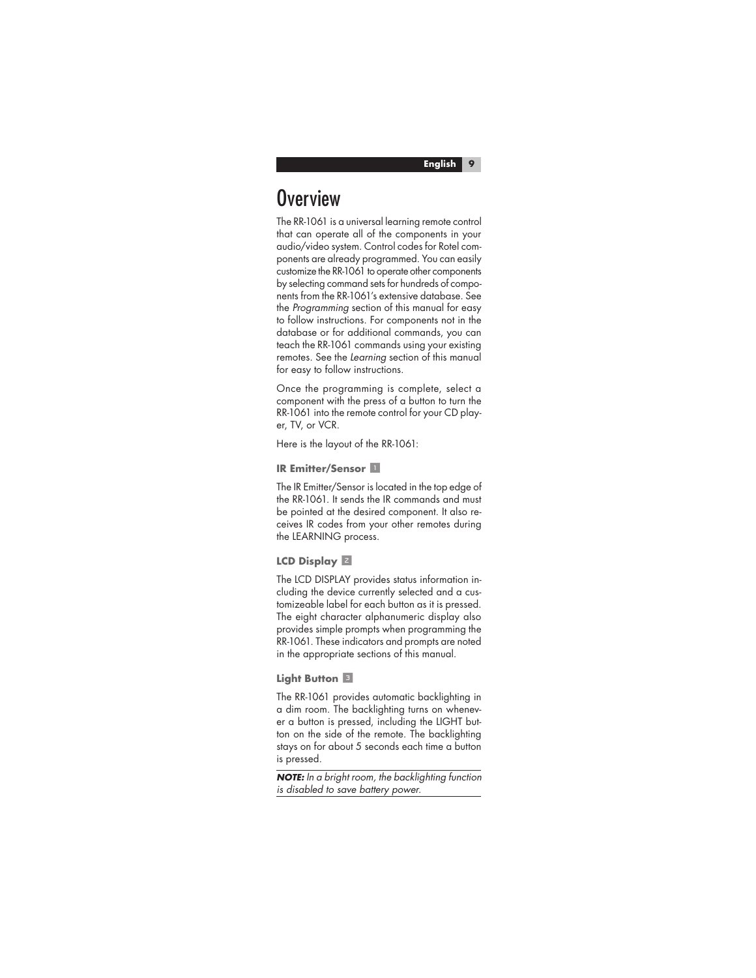## **Overview**

The RR-1061 is a universal learning remote control that can operate all of the components in your audio/video system. Control codes for Rotel components are already programmed. You can easily customize the RR-1061 to operate other components by selecting command sets for hundreds of components from the RR-1061's extensive database. See the Programming section of this manual for easy to follow instructions. For components not in the database or for additional commands, you can teach the RR-1061 commands using your existing remotes. See the Learning section of this manual for easy to follow instructions.

Once the programming is complete, select a component with the press of a button to turn the RR-1061 into the remote control for your CD player, TV, or VCR.

Here is the layout of the RR-1061:

#### **IR Emitter/Sensor II**

The IR Emitter/Sensor is located in the top edge of the RR-1061. It sends the IR commands and must be pointed at the desired component. It also receives IR codes from your other remotes during the LEARNING process.

## **LCD Display** 2

The LCD DISPLAY provides status information including the device currently selected and a customizeable label for each button as it is pressed. The eight character alphanumeric display also provides simple prompts when programming the RR-1061. These indicators and prompts are noted in the appropriate sections of this manual.

## **Light Button** 3

The RR-1061 provides automatic backlighting in a dim room. The backlighting turns on whenever a button is pressed, including the LIGHT button on the side of the remote. The backlighting stays on for about 5 seconds each time a button is pressed.

**NOTE:** In a bright room, the backlighting function is disabled to save battery power.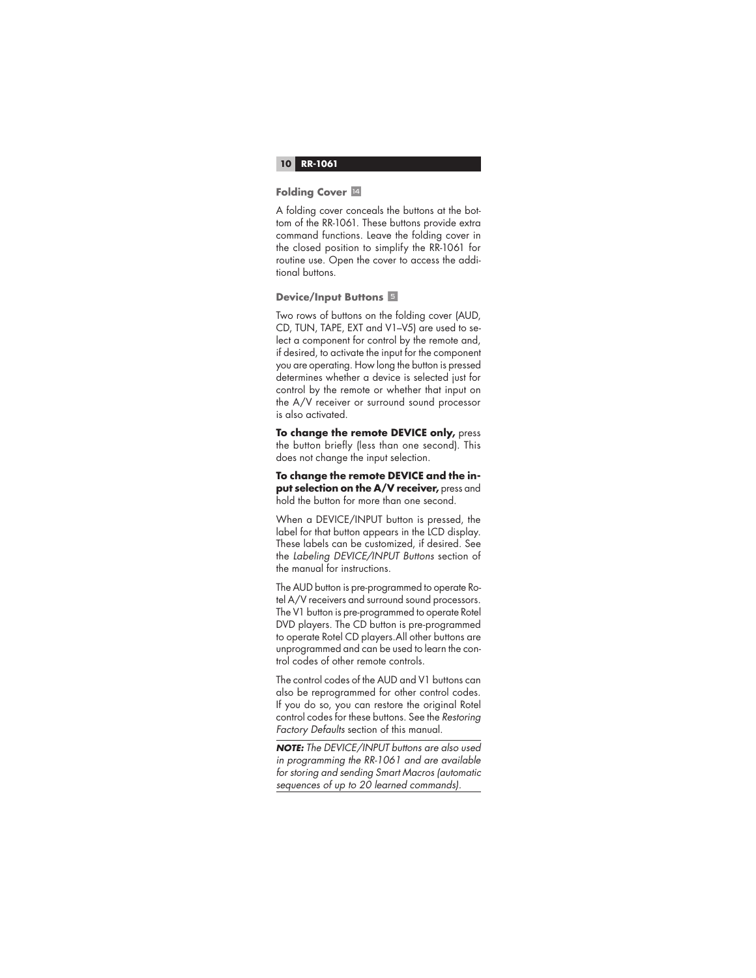#### **Folding Cover 14**

A folding cover conceals the buttons at the bottom of the RR-1061. These buttons provide extra command functions. Leave the folding cover in the closed position to simplify the RR-1061 for routine use. Open the cover to access the additional buttons.

#### **Device/Input Buttons** 5

Two rows of buttons on the folding cover (AUD, CD, TUN, TAPE, EXT and V1–V5) are used to select a component for control by the remote and, if desired, to activate the input for the component you are operating. How long the button is pressed determines whether a device is selected just for control by the remote or whether that input on the A/V receiver or surround sound processor is also activated.

**To change the remote DEVICE only,** press the button briefly (less than one second). This does not change the input selection.

**To change the remote DEVICE and the input selection on the A/V receiver, press and** hold the button for more than one second.

When a DEVICE/INPUT button is pressed, the label for that button appears in the LCD display. These labels can be customized, if desired. See the Labeling DEVICE/INPUT Buttons section of the manual for instructions.

The AUD button is pre-programmed to operate Rotel A/V receivers and surround sound processors. The V1 button is pre-programmed to operate Rotel DVD players. The CD button is pre-programmed to operate Rotel CD players.All other buttons are unprogrammed and can be used to learn the control codes of other remote controls.

The control codes of the AUD and V1 buttons can also be reprogrammed for other control codes. If you do so, you can restore the original Rotel control codes for these buttons. See the Restoring Factory Defaults section of this manual.

**NOTE:** The DEVICE/INPUT buttons are also used in programming the RR-1061 and are available for storing and sending Smart Macros (automatic sequences of up to 20 learned commands).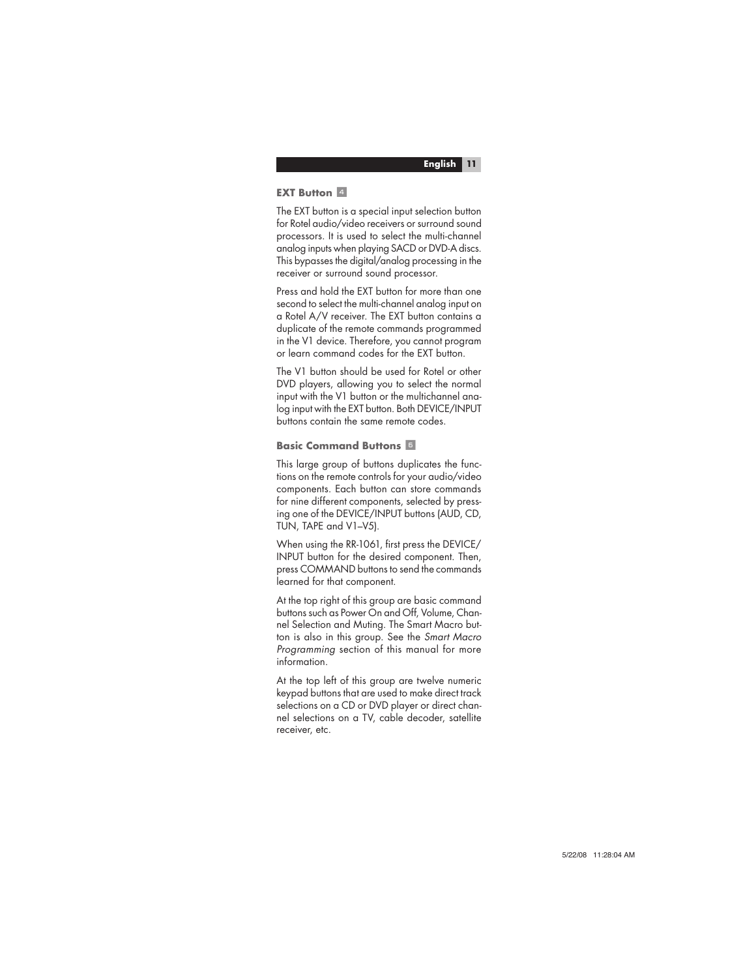#### **EXT Button** 4

The EXT button is a special input selection button for Rotel audio/video receivers or surround sound processors. It is used to select the multi-channel analog inputs when playing SACD or DVD-A discs. This bypasses the digital/analog processing in the receiver or surround sound processor.

Press and hold the EXT button for more than one second to select the multi-channel analog input on a Rotel A/V receiver. The EXT button contains a duplicate of the remote commands programmed in the V1 device. Therefore, you cannot program or learn command codes for the EXT button.

The V1 button should be used for Rotel or other DVD players, allowing you to select the normal input with the V1 button or the multichannel analog input with the EXT button. Both DEVICE/INPUT buttons contain the same remote codes.

#### **Basic Command Buttons** 6

This large group of buttons duplicates the functions on the remote controls for your audio/video components. Each button can store commands for nine different components, selected by pressing one of the DEVICE/INPUT buttons (AUD, CD, TUN, TAPE and V1–V5).

When using the RR-1061, first press the DEVICE/ INPUT button for the desired component. Then, press COMMAND buttons to send the commands learned for that component.

At the top right of this group are basic command buttons such as Power On and Off, Volume, Channel Selection and Muting. The Smart Macro button is also in this group. See the Smart Macro Programming section of this manual for more information.

At the top left of this group are twelve numeric keypad buttons that are used to make direct track selections on a CD or DVD player or direct channel selections on a TV, cable decoder, satellite receiver, etc.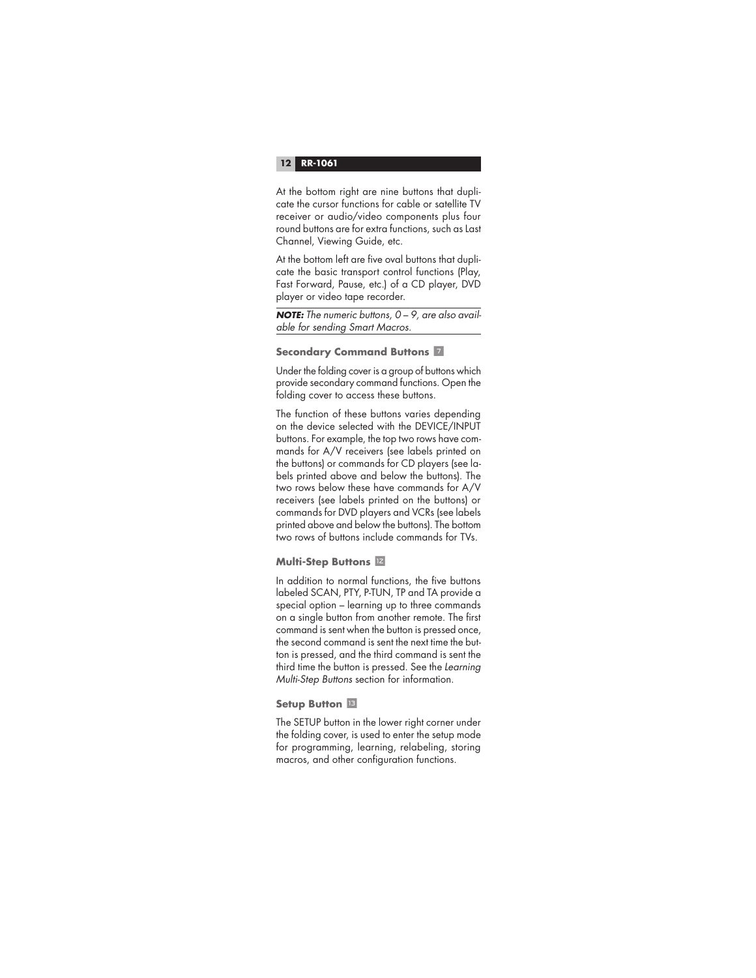At the bottom right are nine buttons that duplicate the cursor functions for cable or satellite TV receiver or audio/video components plus four round buttons are for extra functions, such as Last Channel, Viewing Guide, etc.

At the bottom left are five oval buttons that duplicate the basic transport control functions (Play, Fast Forward, Pause, etc.) of a CD player, DVD player or video tape recorder.

**NOTE:** The numeric buttons, 0 – 9, are also available for sending Smart Macros.

#### **Secondary Command Buttons** 7

Under the folding cover is a group of buttons which provide secondary command functions. Open the folding cover to access these buttons.

The function of these buttons varies depending on the device selected with the DEVICE/INPUT buttons. For example, the top two rows have commands for A/V receivers (see labels printed on the buttons) or commands for CD players (see labels printed above and below the buttons). The two rows below these have commands for A/V receivers (see labels printed on the buttons) or commands for DVD players and VCRs (see labels printed above and below the buttons). The bottom two rows of buttons include commands for TVs.

## **Multi-Step Buttons**  $\mathbb{Z}$

In addition to normal functions, the five buttons labeled SCAN, PTY, P-TUN, TP and TA provide a special option – learning up to three commands on a single button from another remote. The first command is sent when the button is pressed once, the second command is sent the next time the button is pressed, and the third command is sent the third time the button is pressed. See the Learning Multi-Step Buttons section for information.

#### **Setup Button <b>D**

The SETUP button in the lower right corner under the folding cover, is used to enter the setup mode for programming, learning, relabeling, storing macros, and other configuration functions.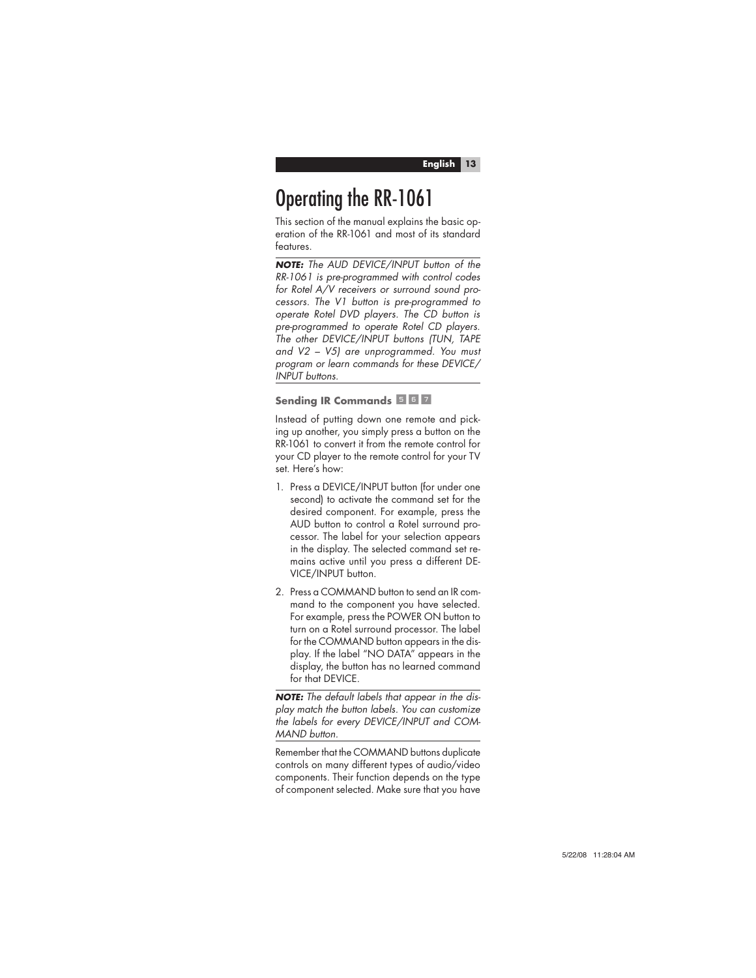# Operating the RR-1061

This section of the manual explains the basic operation of the RR-1061 and most of its standard features.

**NOTE:** The AUD DEVICE/INPUT button of the RR-1061 is pre-programmed with control codes for Rotel A/V receivers or surround sound processors. The V1 button is pre-programmed to operate Rotel DVD players. The CD button is pre-programmed to operate Rotel CD players. The other DEVICE/INPUT buttons (TUN, TAPE and V2 – V5) are unprogrammed. You must program or learn commands for these DEVICE/ INPUT buttons.

## **Sending IR Commands 567**

Instead of putting down one remote and picking up another, you simply press a button on the RR-1061 to convert it from the remote control for your CD player to the remote control for your TV set. Here's how:

- 1. Press a DEVICE/INPUT button (for under one second) to activate the command set for the desired component. For example, press the AUD button to control a Rotel surround processor. The label for your selection appears in the display. The selected command set remains active until you press a different DE-VICE/INPUT button.
- 2. Press a COMMAND button to send an IR command to the component you have selected. For example, press the POWER ON button to turn on a Rotel surround processor. The label for the COMMAND button appears in the display. If the label "NO DATA" appears in the display, the button has no learned command for that DEVICE.

**NOTE:** The default labels that appear in the display match the button labels. You can customize the labels for every DEVICE/INPUT and COM-MAND button.

Remember that the COMMAND buttons duplicate controls on many different types of audio/video components. Their function depends on the type of component selected. Make sure that you have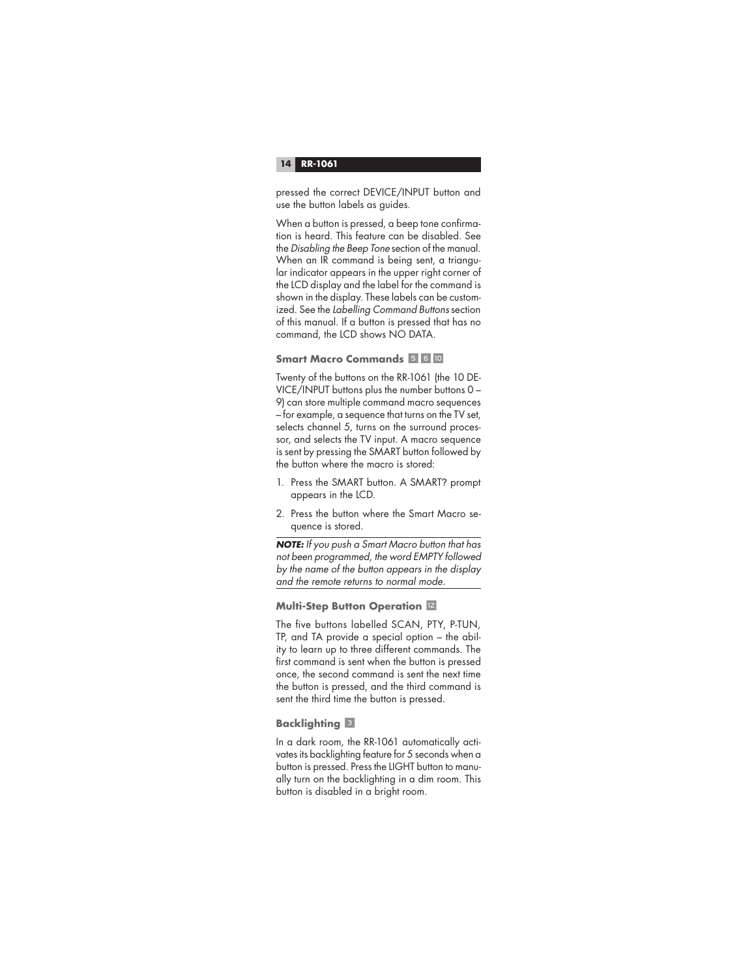pressed the correct DEVICE/INPUT button and use the button labels as guides.

When a button is pressed, a beep tone confirmation is heard. This feature can be disabled. See the Disabling the Beep Tone section of the manual. When an IR command is being sent, a triangular indicator appears in the upper right corner of the LCD display and the label for the command is shown in the display. These labels can be customized. See the Labelling Command Buttons section of this manual. If a button is pressed that has no command, the LCD shows NO DATA.

## **Smart Macro Commands 560**

Twenty of the buttons on the RR-1061 (the 10 DE-VICE/INPUT buttons plus the number buttons 0 – 9) can store multiple command macro sequences – for example, a sequence that turns on the TV set, selects channel 5, turns on the surround processor, and selects the TV input. A macro sequence is sent by pressing the SMART button followed by the button where the macro is stored:

- 1. Press the SMART button. A SMART? prompt appears in the LCD.
- 2. Press the button where the Smart Macro sequence is stored.

**NOTE:** If you push a Smart Macro button that has not been programmed, the word EMPTY followed by the name of the button appears in the display and the remote returns to normal mode.

## **Multi-Step Button Operation <b>E**

The five buttons labelled SCAN, PTY, P-TUN, TP, and TA provide a special option – the ability to learn up to three different commands. The first command is sent when the button is pressed once, the second command is sent the next time the button is pressed, and the third command is sent the third time the button is pressed.

## **Backlighting** 3

In a dark room, the RR-1061 automatically activates its backlighting feature for 5 seconds when a button is pressed. Press the LIGHT button to manually turn on the backlighting in a dim room. This button is disabled in a bright room.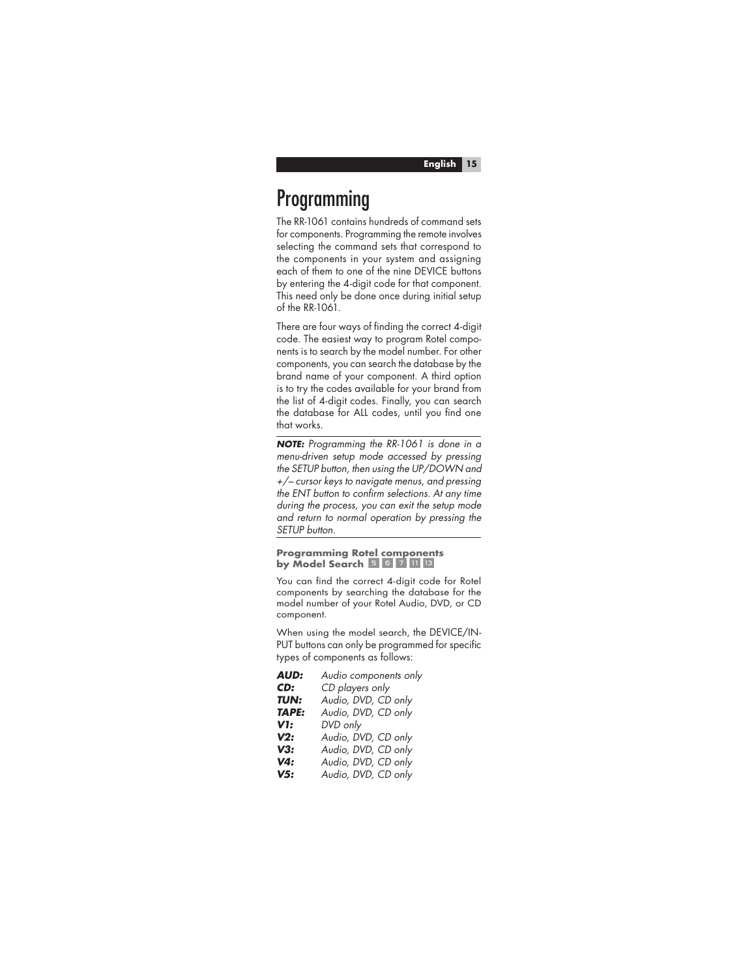## **Programming**

The RR-1061 contains hundreds of command sets for components. Programming the remote involves selecting the command sets that correspond to the components in your system and assigning each of them to one of the nine DEVICE buttons by entering the 4-digit code for that component. This need only be done once during initial setup  $of the PR-1061$ 

There are four ways of findina the correct 4-digit code. The easiest way to program Rotel components is to search by the model number. For other components, you can search the database by the brand name of your component. A third option is to try the codes available for your brand from the list of 4-digit codes. Finally, you can search the database for ALL codes, until you find one that works.

**NOTE:** Programming the RR-1061 is done in a menu-driven setup mode accessed by pressing the SETUP button, then using the UP/DOWN and +/– cursor keys to navigate menus, and pressing the ENT button to confirm selections. At any time during the process, you can exit the setup mode and return to normal operation by pressing the SETUP button.

#### **Programming Rotel components by Model Search 567008**

You can find the correct 4-digit code for Rotel components by searching the database for the model number of your Rotel Audio, DVD, or CD component.

When using the model search, the DEVICE/IN-PUT buttons can only be programmed for specific types of components as follows:

| <b>AUD:</b>  | Audio components only |
|--------------|-----------------------|
| CD:          | CD players only       |
| TUN:         | Audio, DVD, CD only   |
| <b>TAPE:</b> | Audio, DVD, CD only   |
| V1:          | DVD only              |
| V2:          | Audio, DVD, CD only   |
| V3:          | Audio, DVD, CD only   |
| V4:          | Audio, DVD, CD only   |
| V5:          | Audio, DVD, CD only   |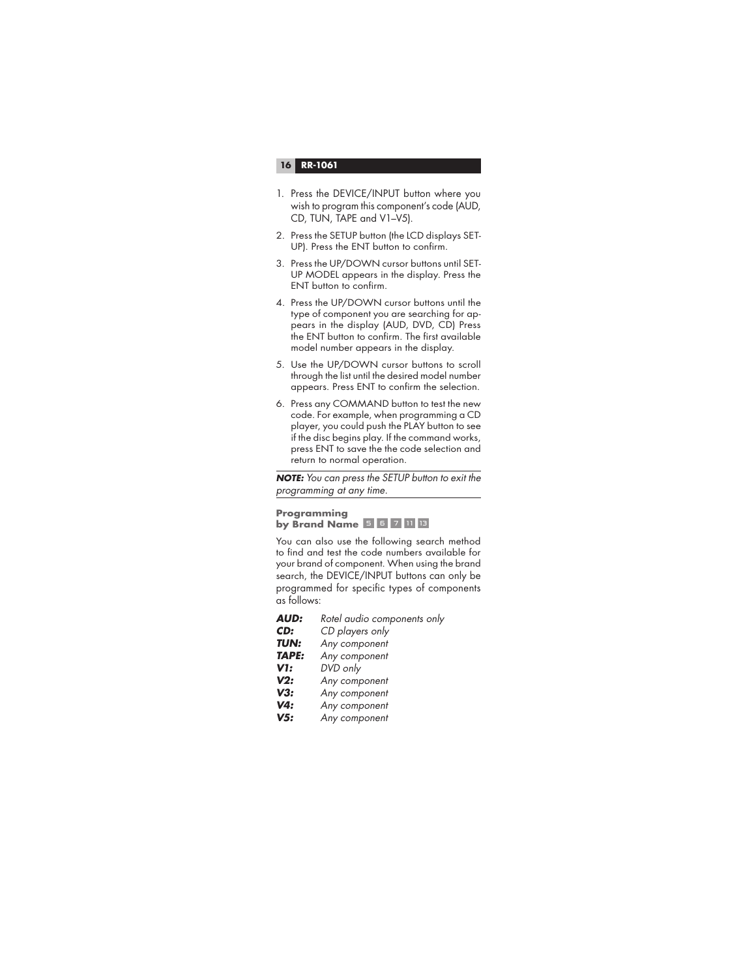- 1. Press the DEVICE/INPUT button where you wish to program this component's code (AUD, CD, TUN, TAPE and V1–V5).
- 2. Press the SETUP button (the LCD displays SET-UP). Press the ENT button to confirm.
- 3. Press the UP/DOWN cursor buttons until SET-UP MODEL appears in the display. Press the ENT button to confirm.
- 4. Press the UP/DOWN cursor buttons until the type of component you are searching for appears in the display (AUD, DVD, CD) Press the ENT button to confirm. The first available model number appears in the display.
- 5. Use the UP/DOWN cursor buttons to scroll through the list until the desired model number appears. Press ENT to confirm the selection.
- 6. Press any COMMAND button to test the new code. For example, when programming a CD player, you could push the PLAY button to see if the disc begins play. If the command works, press ENT to save the the code selection and return to normal operation.

**NOTE:** You can press the SETUP button to exit the programming at any time.

#### **Programming by Brand Name 567113**

You can also use the following search method to find and test the code numbers available for your brand of component. When using the brand search, the DEVICE/INPUT buttons can only be programmed for specific types of components as follows:

| <b>AUD:</b>  | Rotel audio components only |
|--------------|-----------------------------|
| CD:          | CD players only             |
| <b>TUN:</b>  | Any component               |
| <b>TAPE:</b> | Any component               |
| V1:          | DVD only                    |
| V2:          | Any component               |
| V3:          | Any component               |
| V4:          | Any component               |
| V5:          | Any component               |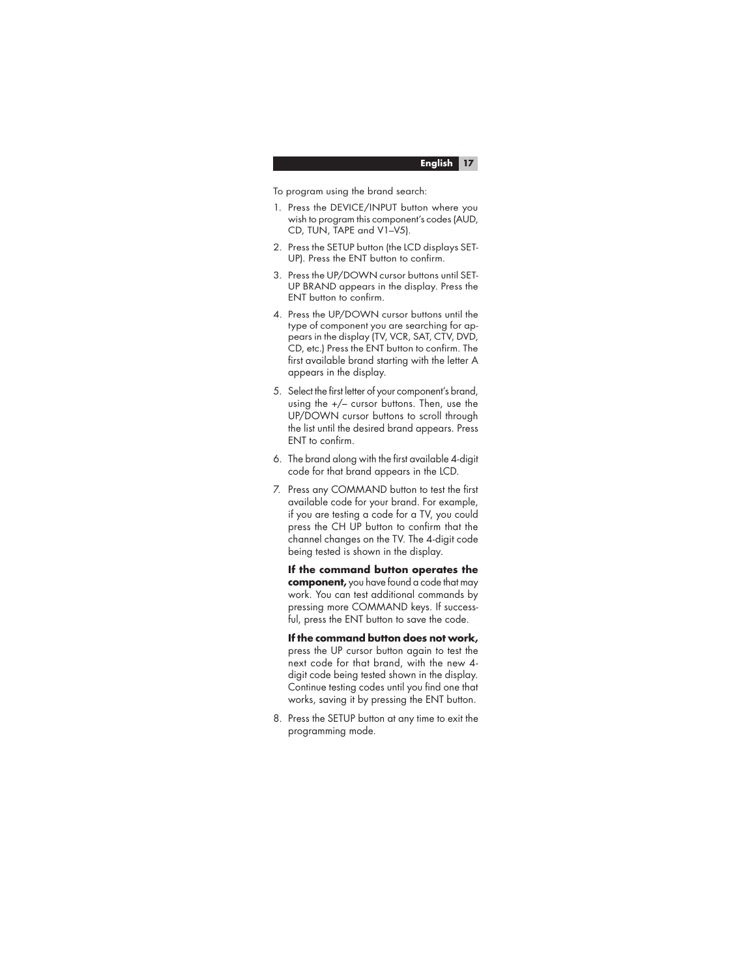To program using the brand search:

- 1. Press the DEVICE/INPUT button where you wish to program this component's codes (AUD, CD, TUN, TAPE and V1–V5).
- 2. Press the SETUP button (the LCD displays SET-UP). Press the ENT button to confirm.
- 3. Press the UP/DOWN cursor buttons until SET-UP BRAND appears in the display. Press the ENT button to confirm.
- 4. Press the UP/DOWN cursor buttons until the type of component you are searching for appears in the display (TV, VCR, SAT, CTV, DVD, CD, etc.) Press the ENT button to confirm. The first available brand starting with the letter A appears in the display.
- 5. Select the first letter of your component's brand, using the +/– cursor buttons. Then, use the UP/DOWN cursor buttons to scroll through the list until the desired brand appears. Press ENT to confirm.
- 6. The brand along with the first available 4-digit code for that brand appears in the LCD.
- 7. Press any COMMAND button to test the first available code for your brand. For example, if you are testing a code for a TV, you could press the CH UP button to confirm that the channel changes on the TV. The 4-digit code being tested is shown in the display.

 **If the command button operates the component,** you have found a code that may work. You can test additional commands by pressing more COMMAND keys. If successful, press the ENT button to save the code.

 **If the command button does not work,**  press the UP cursor button again to test the next code for that brand, with the new 4 digit code being tested shown in the display. Continue testing codes until you find one that works, saving it by pressing the ENT button.

8. Press the SETUP button at any time to exit the programming mode.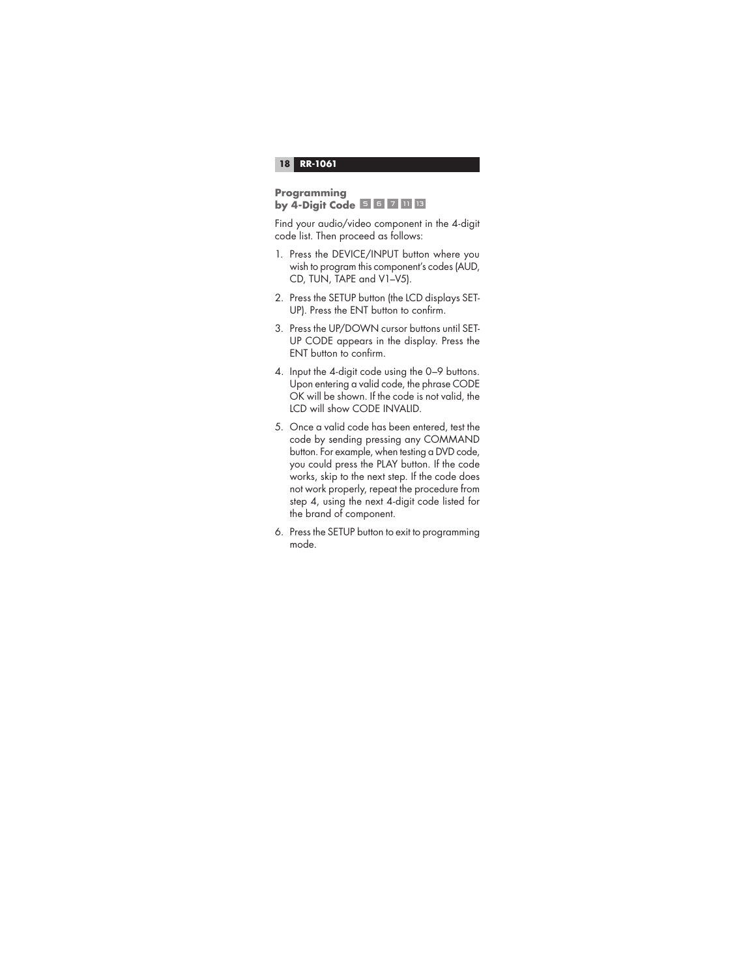#### **Programming by 4-Digit Code** 567 11 13

Find your audio/video component in the 4-digit code list. Then proceed as follows:

- 1. Press the DEVICE/INPUT button where you wish to program this component's codes (AUD, CD, TUN, TAPE and V1–V5).
- 2. Press the SETUP button (the LCD displays SET-UP). Press the ENT button to confirm.
- 3. Press the UP/DOWN cursor buttons until SET-UP CODE appears in the display. Press the ENT button to confirm.
- 4. Input the 4-digit code using the 0–9 buttons. Upon entering a valid code, the phrase CODE OK will be shown. If the code is not valid, the LCD will show CODE INVALID.
- 5. Once a valid code has been entered, test the code by sending pressing any COMMAND button. For example, when testing a DVD code, you could press the PLAY button. If the code works, skip to the next step. If the code does not work properly, repeat the procedure from step 4, using the next 4-digit code listed for the brand of component.
- 6. Press the SETUP button to exit to programming mode.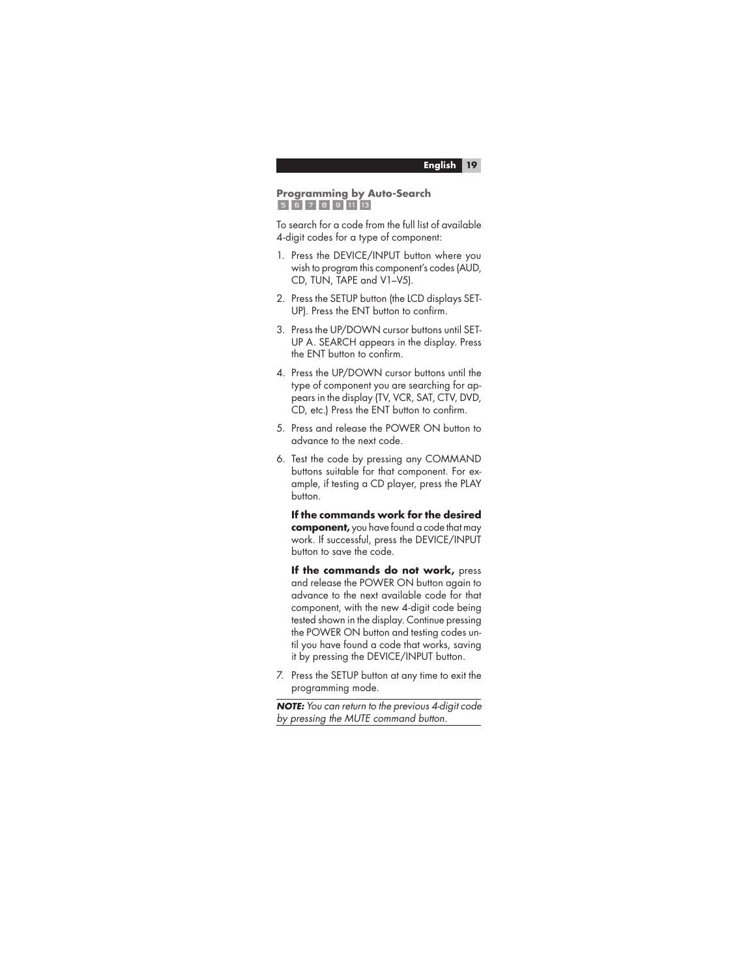#### **Programming by Auto-Search** 56789113

To search for a code from the full list of available 4-digit codes for a type of component:

- 1. Press the DEVICE/INPUT button where you wish to program this component's codes (AUD, CD, TUN, TAPE and V1–V5).
- 2. Press the SETUP button (the LCD displays SET-UP). Press the ENT button to confirm.
- 3. Press the UP/DOWN cursor buttons until SET-UP A. SEARCH appears in the display. Press the ENT button to confirm.
- 4. Press the UP/DOWN cursor buttons until the type of component you are searching for appears in the display (TV, VCR, SAT, CTV, DVD, CD, etc.) Press the ENT button to confirm.
- 5. Press and release the POWER ON button to advance to the next code.
- 6. Test the code by pressing any COMMAND buttons suitable for that component. For example, if testing a CD player, press the PLAY button.

 **If the commands work for the desired component,** you have found a code that may work. If successful, press the DEVICE/INPUT button to save the code.

 **If the commands do not work,** press and release the POWER ON button again to advance to the next available code for that component, with the new 4-digit code being tested shown in the display. Continue pressing the POWER ON button and testing codes until you have found a code that works, saving it by pressing the DEVICE/INPUT button.

7. Press the SETUP button at any time to exit the programming mode.

**NOTE:** You can return to the previous 4-digit code by pressing the MUTE command button.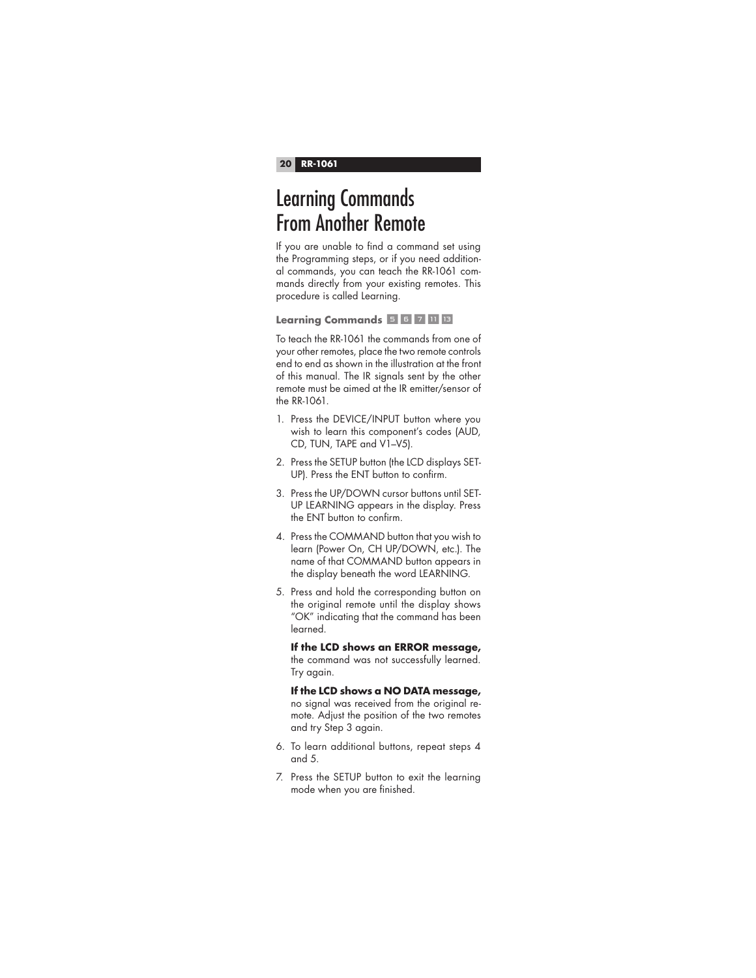## Learning Commands From Another Remote

If you are unable to find a command set using the Programming steps, or if you need additional commands, you can teach the RR-1061 commands directly from your existing remotes. This procedure is called Learning.

**Learning Commands** 567 116

To teach the RR-1061 the commands from one of your other remotes, place the two remote controls end to end as shown in the illustration at the front of this manual. The IR signals sent by the other remote must be aimed at the IR emitter/sensor of the RR-1061.

- 1. Press the DEVICE/INPUT button where you wish to learn this component's codes (AUD, CD, TUN, TAPE and V1–V5).
- 2. Press the SETUP button (the LCD displays SET-UP). Press the ENT button to confirm.
- 3. Press the UP/DOWN cursor buttons until SET-UP LEARNING appears in the display. Press the ENT button to confirm.
- 4. Press the COMMAND button that you wish to learn (Power On, CH UP/DOWN, etc.). The name of that COMMAND button appears in the display beneath the word LEARNING.
- 5. Press and hold the corresponding button on the original remote until the display shows "OK" indicating that the command has been learned.

 **If the LCD shows an ERROR message,** the command was not successfully learned. Try again.

 **If the LCD shows a NO DATA message,** no signal was received from the original remote. Adjust the position of the two remotes and try Step 3 again.

- 6. To learn additional buttons, repeat steps 4 and 5.
- 7. Press the SETUP button to exit the learning mode when you are finished.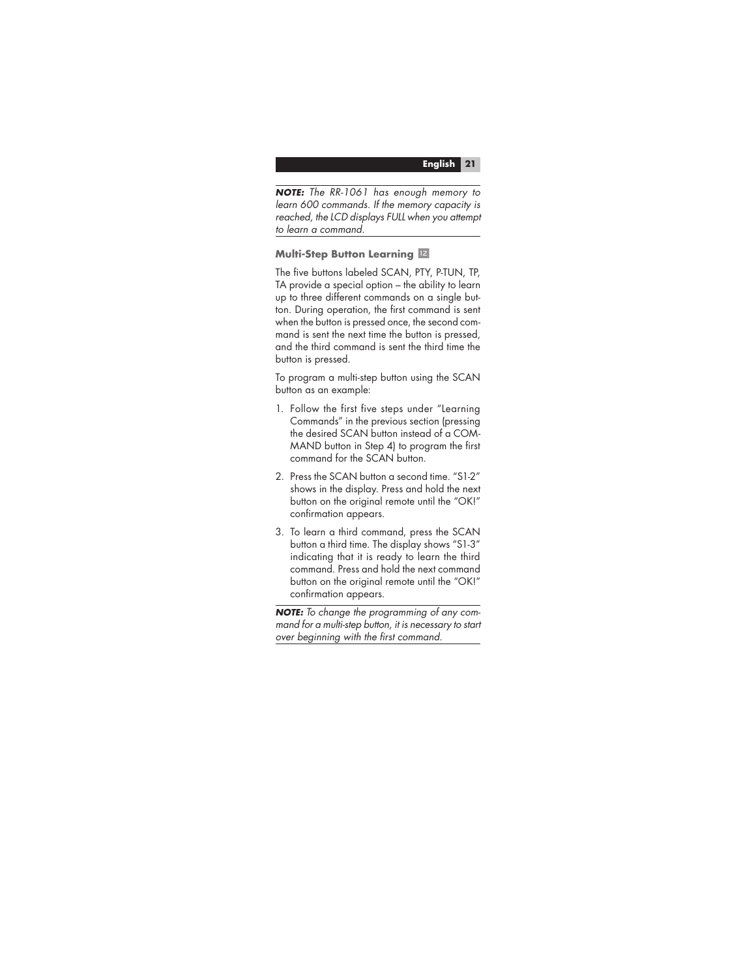**NOTE:** The RR-1061 has enough memory to learn 600 commands. If the memory capacity is reached, the LCD displays FULL when you attempt to learn a command.

## **Multi-Step Button Learning**  $\mathbb{Z}$

The five buttons labeled SCAN, PTY, P-TUN, TP, TA provide a special option – the ability to learn up to three different commands on a single button. During operation, the first command is sent when the button is pressed once, the second command is sent the next time the button is pressed, and the third command is sent the third time the button is pressed.

To program a multi-step button using the SCAN button as an example:

- 1. Follow the first five steps under "Learning Commands" in the previous section (pressing the desired SCAN button instead of a COM-MAND button in Step 4) to program the first command for the SCAN button.
- 2. Press the SCAN button a second time. "S1-2" shows in the display. Press and hold the next button on the original remote until the "OK!" confirmation appears.
- 3. To learn a third command, press the SCAN button a third time. The display shows "S1-3" indicating that it is ready to learn the third command. Press and hold the next command button on the original remote until the "OK!" confirmation appears.

**NOTE:** To change the programming of any command for a multi-step button, it is necessary to start over beginning with the first command.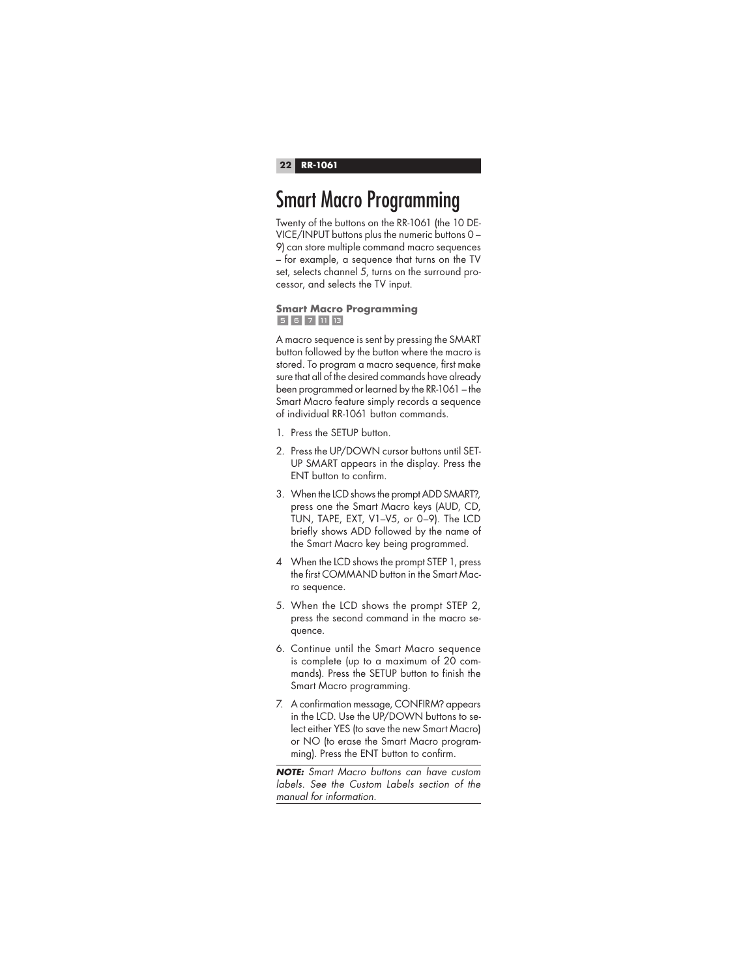## Smart Macro Programming

Twenty of the buttons on the RR-1061 (the 10 DE-VICE/INPUT buttons plus the numeric buttons 0 – 9) can store multiple command macro sequences – for example, a sequence that turns on the TV set, selects channel 5, turns on the surround processor, and selects the TV input.

## **Smart Macro Programming**  $5671113$

A macro sequence is sent by pressing the SMART button followed by the button where the macro is stored. To program a macro sequence, first make sure that all of the desired commands have already been programmed or learned by the RR-1061 – the Smart Macro feature simply records a sequence of individual RR-1061 button commands.

- 1. Press the SETUP button.
- 2. Press the UP/DOWN cursor buttons until SET-UP SMART appears in the display. Press the ENT button to confirm.
- 3. When the LCD shows the prompt ADD SMART?, press one the Smart Macro keys (AUD, CD, TUN, TAPE, EXT, V1–V5, or 0–9). The LCD briefly shows ADD followed by the name of the Smart Macro key being programmed.
- 4 When the LCD shows the prompt STEP 1, press the first COMMAND button in the Smart Macro sequence.
- 5. When the LCD shows the prompt STEP 2, press the second command in the macro sequence.
- 6. Continue until the Smart Macro sequence is complete (up to a maximum of 20 commands). Press the SETUP button to finish the Smart Macro programming.
- 7. A confirmation message, CONFIRM? appears in the LCD. Use the UP/DOWN buttons to select either YES (to save the new Smart Macro) or NO (to erase the Smart Macro programming). Press the ENT button to confirm.

**NOTE:** Smart Macro buttons can have custom labels. See the Custom Labels section of the manual for information.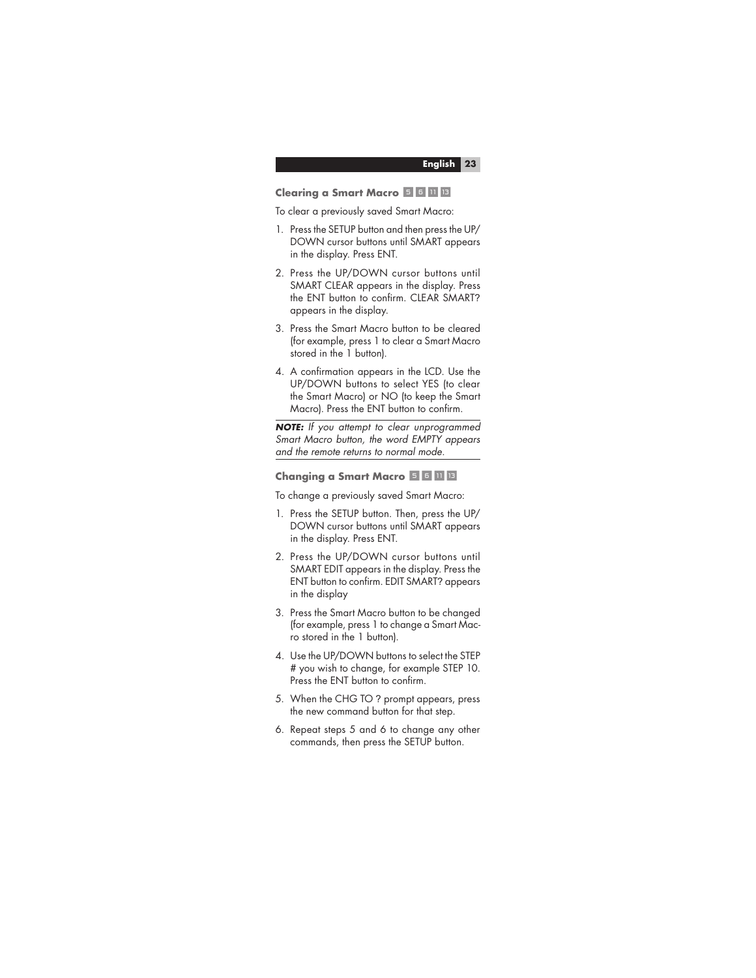#### **Clearing a Smart Macro 56 UP** 13

To clear a previously saved Smart Macro:

- 1. Press the SETUP button and then press the UP/ DOWN cursor buttons until SMART appears in the display. Press ENT.
- 2. Press the UP/DOWN cursor buttons until SMART CLEAR appears in the display. Press the ENT button to confirm. CLEAR SMART? appears in the display.
- 3. Press the Smart Macro button to be cleared (for example, press 1 to clear a Smart Macro stored in the 1 button).
- 4. A confirmation appears in the LCD. Use the UP/DOWN buttons to select YES (to clear the Smart Macro) or NO (to keep the Smart Macro). Press the ENT button to confirm.

**NOTE:** If you attempt to clear unprogrammed Smart Macro button, the word EMPTY appears and the remote returns to normal mode.

#### **Changing a Smart Macro 56-Q 11**

To change a previously saved Smart Macro:

- 1. Press the SETUP button. Then, press the UP/ DOWN cursor buttons until SMART appears in the display. Press ENT.
- 2. Press the UP/DOWN cursor buttons until SMART EDIT appears in the display. Press the ENT button to confirm. EDIT SMART? appears in the display
- 3. Press the Smart Macro button to be changed (for example, press 1 to change a Smart Macro stored in the 1 button).
- 4. Use the UP/DOWN buttons to select the STEP # you wish to change, for example STEP 10. Press the ENT button to confirm.
- 5. When the CHG TO ? prompt appears, press the new command button for that step.
- 6. Repeat steps 5 and 6 to change any other commands, then press the SETUP button.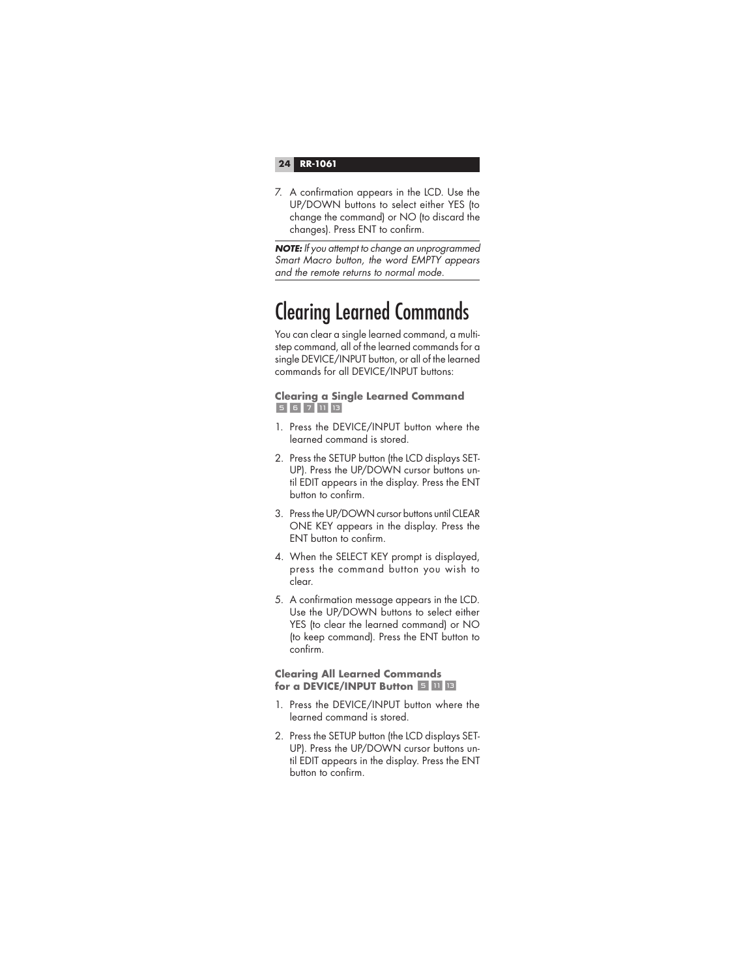7. A confirmation appears in the LCD. Use the UP/DOWN buttons to select either YES (to change the command) or NO (to discard the changes). Press ENT to confirm.

**NOTE:** If you attempt to change an unprogrammed Smart Macro button, the word EMPTY appears and the remote returns to normal mode.

# Clearing Learned Commands

You can clear a single learned command, a multistep command, all of the learned commands for a single DEVICE/INPUT button, or all of the learned commands for all DEVICE/INPUT buttons:

## **Clearing a Single Learned Command**   $5671113$

- 1. Press the DEVICE/INPUT button where the learned command is stored.
- 2. Press the SETUP button (the LCD displays SET-UP). Press the UP/DOWN cursor buttons until EDIT appears in the display. Press the ENT button to confirm.
- 3. Press the UP/DOWN cursor buttons until CLEAR ONE KEY appears in the display. Press the ENT button to confirm.
- 4. When the SELECT KEY prompt is displayed, press the command button you wish to clear.
- 5. A confirmation message appears in the LCD. Use the UP/DOWN buttons to select either YES (to clear the learned command) or NO (to keep command). Press the ENT button to  $confirm$

## **Clearing All Learned Commands for a DEVICE/INPUT Button 5 TH 13**

- 1. Press the DEVICE/INPUT button where the learned command is stored.
- 2. Press the SETUP button (the LCD displays SET-UP). Press the UP/DOWN cursor buttons until EDIT appears in the display. Press the ENT button to confirm.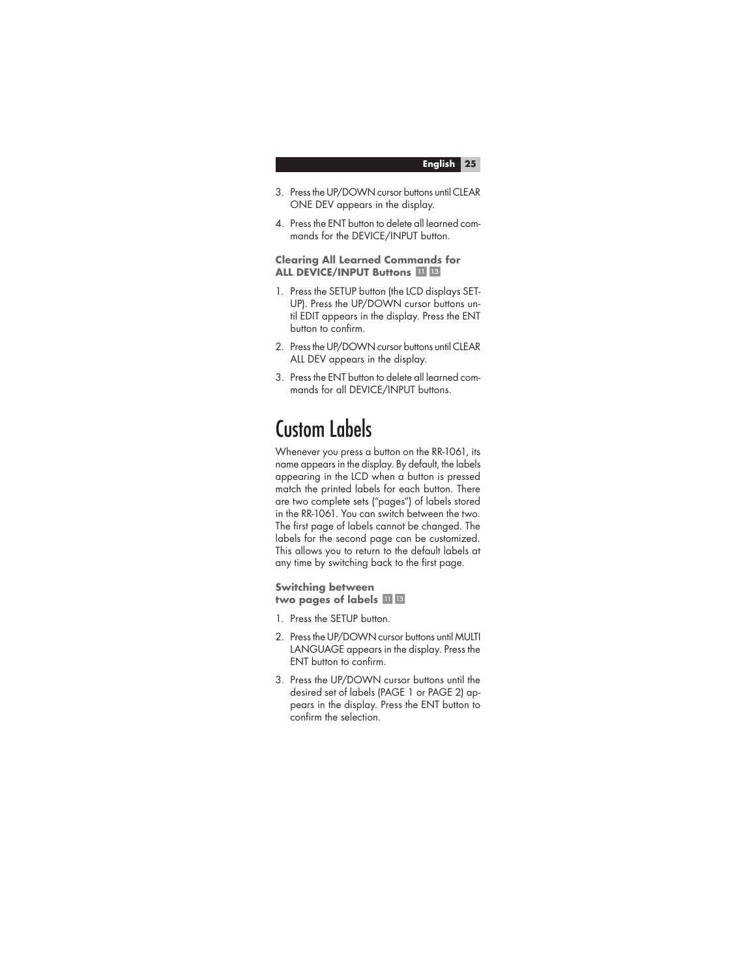- 3. Press the UP/DOWN cursor buttons until CLEAR ONE DEV appears in the display.
- 4. Press the ENT button to delete all learned commands for the DEVICE/INPUT button.

#### **Clearing All Learned Commands for ALL DEVICE/INPUT Buttons**  $\overline{u}$  **B**

- 1. Press the SETUP button (the LCD displays SET-UP). Press the UP/DOWN cursor buttons until EDIT appears in the display. Press the ENT button to confirm.
- 2. Press the UP/DOWN cursor buttons until CLEAR ALL DEV appears in the display.
- 3. Press the ENT button to delete all learned commands for all DEVICE/INPUT buttons.

## Custom Labels

Whenever you press a button on the RR-1061, its name appears in the display. By default, the labels appearing in the LCD when a button is pressed match the printed labels for each button. There are two complete sets ("pages") of labels stored in the RR-1061. You can switch between the two. The first page of labels cannot be changed. The labels for the second page can be customized. This allows you to return to the default labels at any time by switching back to the first page.

**Switching between**  two pages of labels  $\blacksquare$   $\blacksquare$ 

- 1. Press the SETUP button.
- 2. Press the UP/DOWN cursor buttons until MULTI LANGUAGE appears in the display. Press the ENT button to confirm.
- 3. Press the UP/DOWN cursor buttons until the desired set of labels (PAGE 1 or PAGE 2) appears in the display. Press the ENT button to confirm the selection.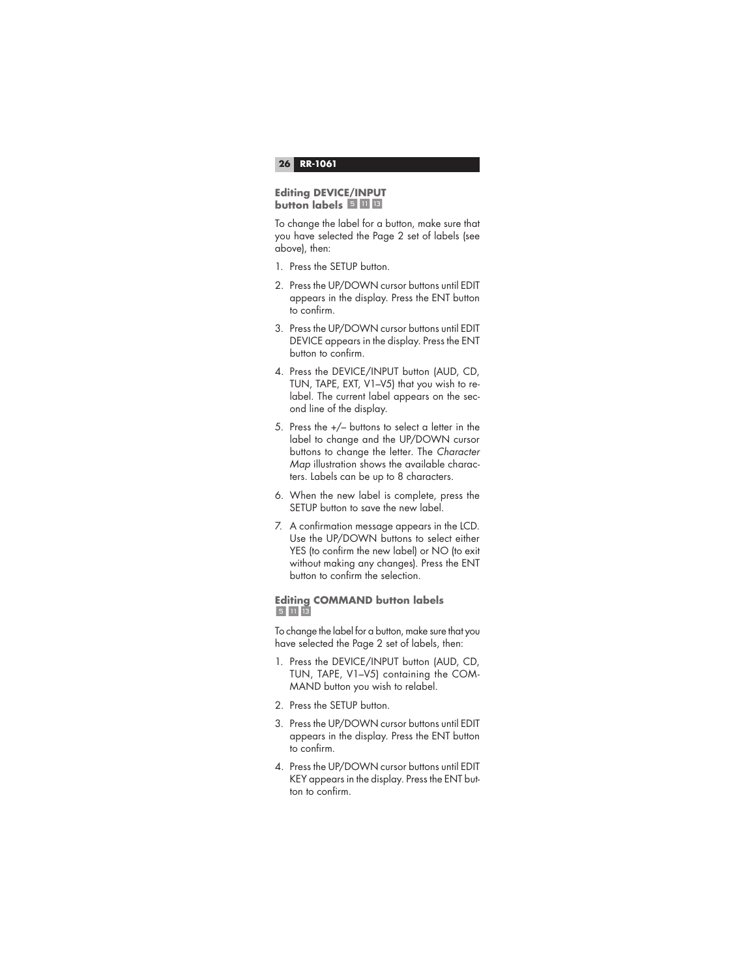#### **Editing DEVICE/INPUT button labels 5 U B**

To change the label for a button, make sure that you have selected the Page 2 set of labels (see above), then:

- 1. Press the SETUP button.
- 2. Press the UP/DOWN cursor buttons until EDIT appears in the display. Press the ENT button to confirm.
- 3. Press the UP/DOWN cursor buttons until EDIT DEVICE appears in the display. Press the ENT button to confirm.
- 4. Press the DEVICE/INPUT button (AUD, CD, TUN, TAPE, EXT, V1–V5) that you wish to relabel. The current label appears on the second line of the display.
- 5. Press the +/– buttons to select a letter in the label to change and the UP/DOWN cursor buttons to change the letter. The Character Map illustration shows the available characters. Labels can be up to 8 characters.
- 6. When the new label is complete, press the SETUP button to save the new label.
- 7. A confirmation message appears in the LCD. Use the UP/DOWN buttons to select either YES (to confirm the new label) or NO (to exit without making any changes). Press the ENT button to confirm the selection.

## **Editing COMMAND button labels**  5 11 13

To change the label for a button, make sure that you have selected the Page 2 set of labels, then:

- 1. Press the DEVICE/INPUT button (AUD, CD, TUN, TAPE, V1–V5) containing the COM-MAND button you wish to relabel.
- 2. Press the SETUP button.
- 3. Press the UP/DOWN cursor buttons until EDIT appears in the display. Press the ENT button to confirm.
- 4. Press the UP/DOWN cursor buttons until EDIT KEY appears in the display. Press the ENT button to confirm.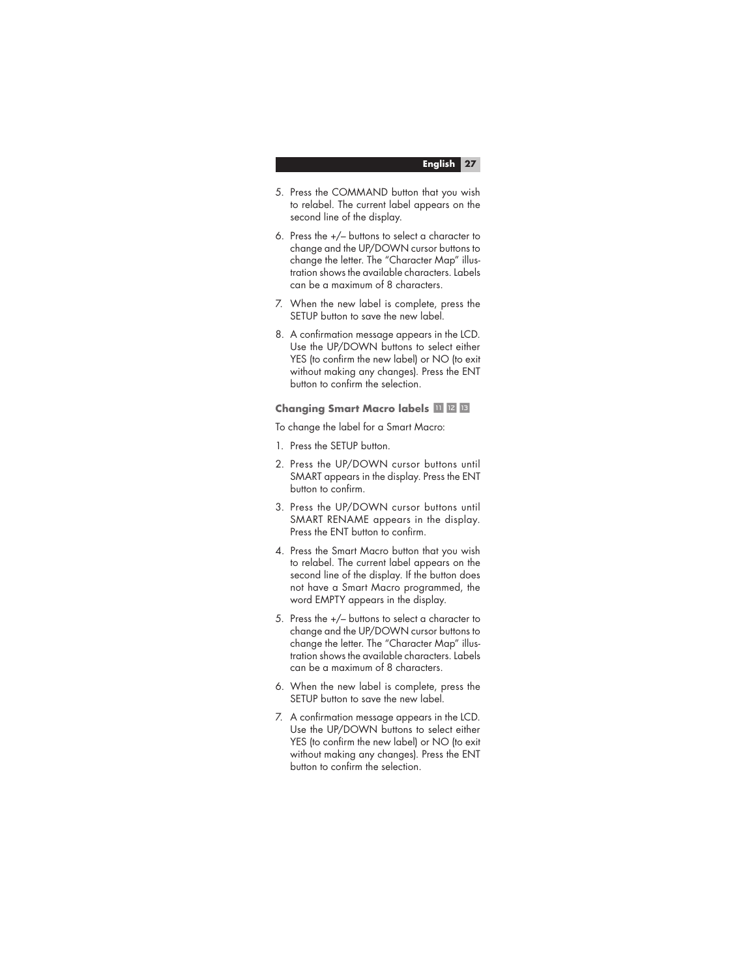- 5. Press the COMMAND button that you wish to relabel. The current label appears on the second line of the display.
- 6. Press the +/– buttons to select a character to change and the UP/DOWN cursor buttons to change the letter. The "Character Map" illustration shows the available characters. Labels can be a maximum of 8 characters.
- 7. When the new label is complete, press the SETUP button to save the new label.
- 8. A confirmation message appears in the LCD. Use the UP/DOWN buttons to select either YES (to confirm the new label) or NO (to exit without making any changes). Press the ENT button to confirm the selection.

#### **Changing Smart Macro labels <b>II IZ B**

To change the label for a Smart Macro:

- 1. Press the SETUP button.
- 2. Press the UP/DOWN cursor buttons until SMART appears in the display. Press the ENT button to confirm.
- 3. Press the UP/DOWN cursor buttons until SMART RENAME appears in the display. Press the ENT button to confirm.
- 4. Press the Smart Macro button that you wish to relabel. The current label appears on the second line of the display. If the button does not have a Smart Macro programmed, the word EMPTY appears in the display.
- 5. Press the +/– buttons to select a character to change and the UP/DOWN cursor buttons to change the letter. The "Character Map" illustration shows the available characters. Labels can be a maximum of 8 characters.
- 6. When the new label is complete, press the SETUP button to save the new label.
- 7. A confirmation message appears in the LCD. Use the UP/DOWN buttons to select either YES (to confirm the new label) or NO (to exit without making any changes). Press the ENT button to confirm the selection.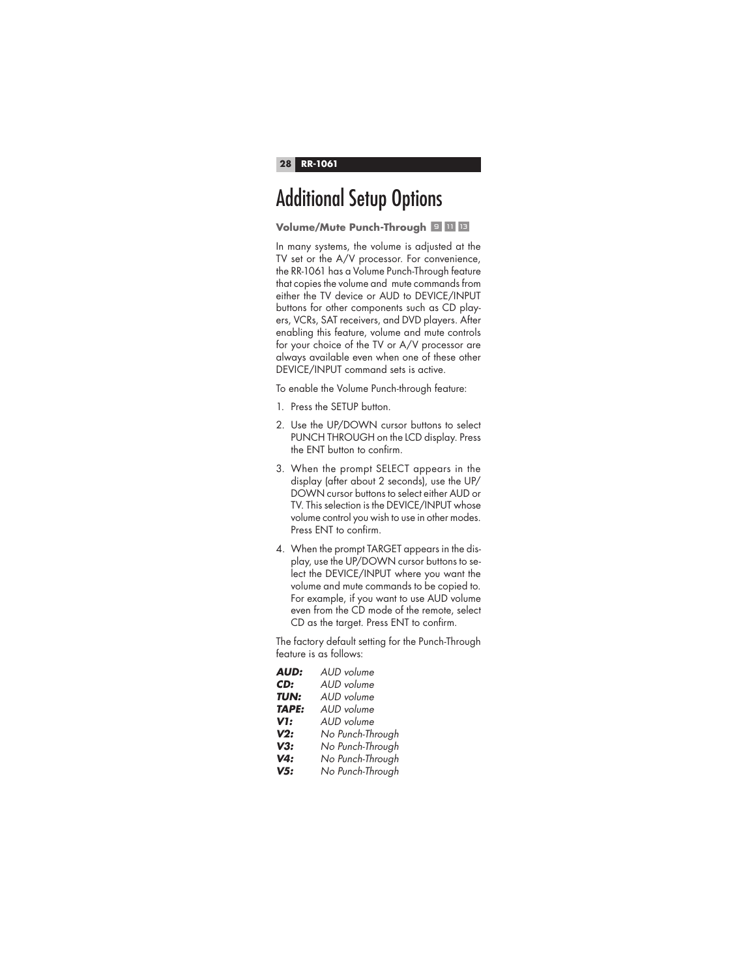# Additional Setup Options

**Volume/Mute Punch-Through 9 MB** 

In many systems, the volume is adjusted at the TV set or the A/V processor. For convenience, the RR-1061 has a Volume Punch-Through feature that copies the volume and mute commands from either the TV device or AUD to DEVICE/INPUT buttons for other components such as CD players, VCRs, SAT receivers, and DVD players. After enabling this feature, volume and mute controls for your choice of the TV or A/V processor are always available even when one of these other DEVICE/INPUT command sets is active.

To enable the Volume Punch-through feature:

- 1. Press the SETUP button.
- 2. Use the UP/DOWN cursor buttons to select PUNCH THROUGH on the LCD display. Press the ENT button to confirm.
- 3. When the prompt SELECT appears in the display (after about 2 seconds), use the UP/ DOWN cursor buttons to select either AUD or TV. This selection is the DEVICE/INPUT whose volume control you wish to use in other modes. Press ENT to confirm.
- 4. When the prompt TARGET appears in the display, use the UP/DOWN cursor buttons to select the DEVICE/INPUT where you want the volume and mute commands to be copied to. For example, if you want to use AUD volume even from the CD mode of the remote, select CD as the target. Press ENT to confirm.

The factory default setting for the Punch-Through feature is as follows:

| <b>AUD:</b>  | AUD volume       |
|--------------|------------------|
| CD:          | AUD volume       |
| TUN:         | AUD volume       |
| <b>TAPE:</b> | AUD volume       |
| V1:          | AUD volume       |
| V2:          | No Punch-Through |
| V3:          | No Punch-Through |
| V4:          | No Punch-Through |
| V5:          | No Punch-Through |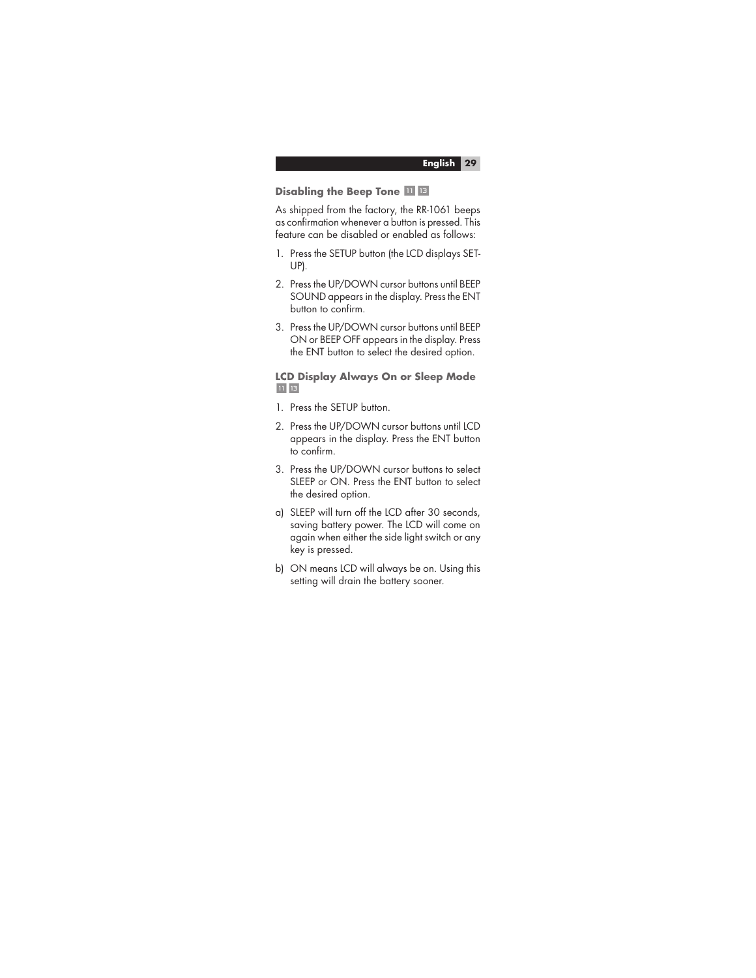#### **Disabling the Beep Tone <b>II** IB

As shipped from the factory, the RR-1061 beeps as confirmation whenever a button is pressed. This feature can be disabled or enabled as follows:

- 1. Press the SETUP button (the LCD displays SET-UP).
- 2. Press the UP/DOWN cursor buttons until BEEP SOUND appears in the display. Press the ENT button to confirm.
- 3. Press the UP/DOWN cursor buttons until BEEP ON or BEEP OFF appears in the display. Press the ENT button to select the desired option.

#### **LCD Display Always On or Sleep Mode**   $11$   $13$

- 1. Press the SETUP button.
- 2. Press the UP/DOWN cursor buttons until LCD appears in the display. Press the ENT button to confirm.
- 3. Press the UP/DOWN cursor buttons to select SLEEP or ON. Press the ENT button to select the desired option.
- a) SLEEP will turn off the LCD after 30 seconds, saving battery power. The LCD will come on again when either the side light switch or any key is pressed.
- b) ON means LCD will always be on. Using this setting will drain the battery sooner.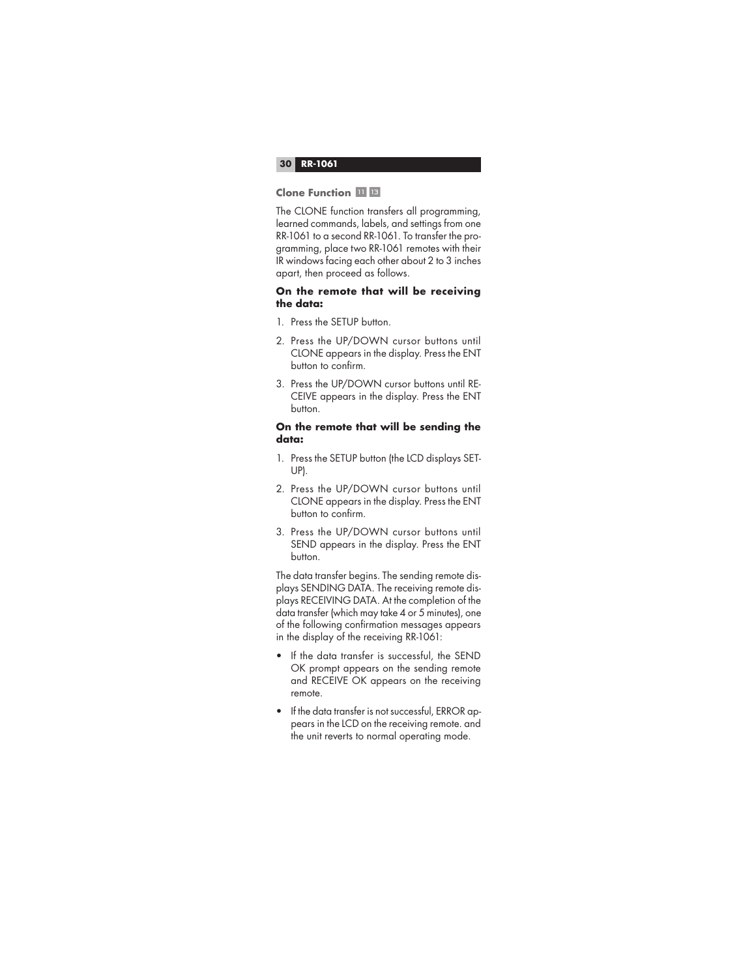#### **Clone Function <b>III B**

The CLONE function transfers all programming, learned commands, labels, and settings from one RR-1061 to a second RR-1061. To transfer the programming, place two RR-1061 remotes with their IR windows facing each other about 2 to 3 inches apart, then proceed as follows.

## **On the remote that will be receiving the data:**

- 1. Press the SETUP button.
- 2. Press the UP/DOWN cursor buttons until CLONE appears in the display. Press the ENT button to confirm.
- 3. Press the UP/DOWN cursor buttons until RE-CEIVE appears in the display. Press the ENT button.

## **On the remote that will be sending the data:**

- 1. Press the SETUP button (the LCD displays SET-UP).
- 2. Press the UP/DOWN cursor buttons until CLONE appears in the display. Press the ENT button to confirm.
- 3. Press the UP/DOWN cursor buttons until SEND appears in the display. Press the ENT button.

The data transfer begins. The sending remote displays SENDING DATA. The receiving remote displays RECEIVING DATA. At the completion of the data transfer (which may take 4 or 5 minutes), one of the following confirmation messages appears in the display of the receiving RR-1061:

- If the data transfer is successful, the SEND OK prompt appears on the sending remote and RECEIVE OK appears on the receiving remote.
- If the data transfer is not successful, ERROR appears in the LCD on the receiving remote. and the unit reverts to normal operating mode.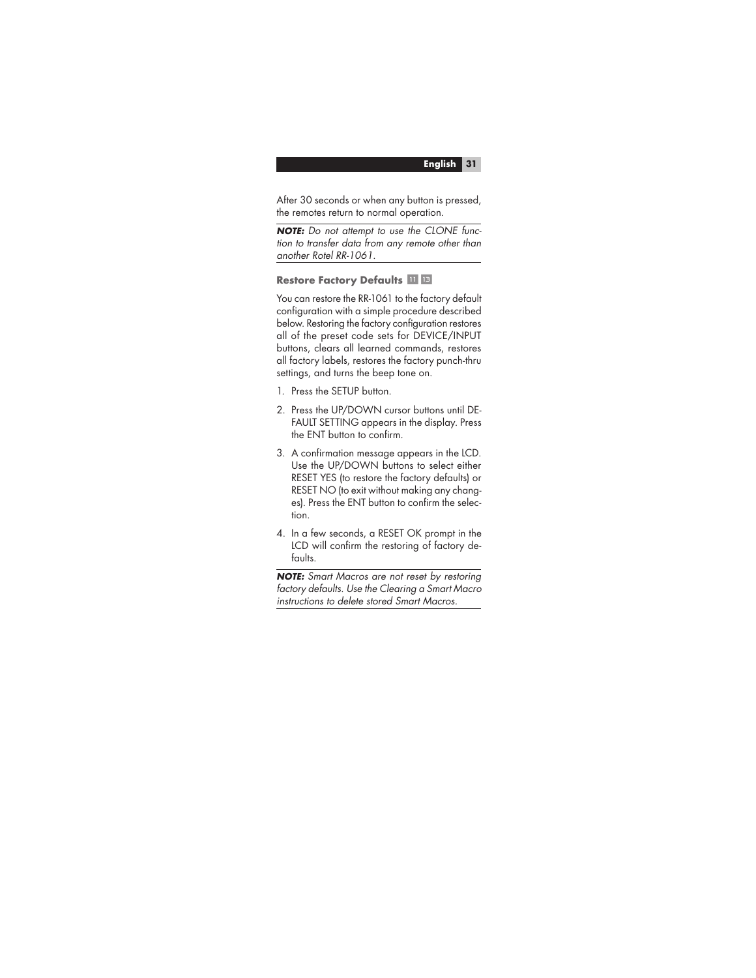After 30 seconds or when any button is pressed, the remotes return to normal operation.

**NOTE:** Do not attempt to use the CLONE function to transfer data from any remote other than another Rotel RR-1061.

**Restore Factory Defaults <b>III B** 

You can restore the RR-1061 to the factory default configuration with a simple procedure described below. Restoring the factory configuration restores all of the preset code sets for DEVICE/INPUT buttons, clears all learned commands, restores all factory labels, restores the factory punch-thru settings, and turns the beep tone on.

- 1. Press the SETUP button.
- 2. Press the UP/DOWN cursor buttons until DE-FAULT SETTING appears in the display. Press the ENT button to confirm.
- 3. A confirmation message appears in the LCD. Use the UP/DOWN buttons to select either RESET YES (to restore the factory defaults) or RESET NO (to exit without making any changes). Press the ENT button to confirm the selection.
- 4. In a few seconds, a RESET OK prompt in the LCD will confirm the restoring of factory defaults.

**NOTE:** Smart Macros are not reset by restoring factory defaults. Use the Clearing a Smart Macro instructions to delete stored Smart Macros.